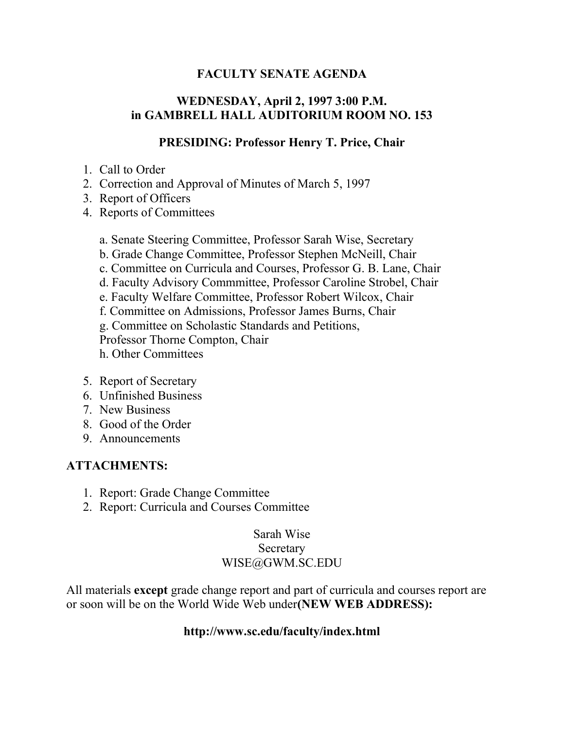### **FACULTY SENATE AGENDA**

### **WEDNESDAY, April 2, 1997 3:00 P.M. in GAMBRELL HALL AUDITORIUM ROOM NO. 153**

#### **PRESIDING: Professor Henry T. Price, Chair**

- 1. Call to Order
- 2. Correction and Approval of Minutes of March 5, 1997
- 3. Report of Officers
- 4. Reports of Committees
	- a. Senate Steering Committee, Professor Sarah Wise, Secretary
	- b. Grade Change Committee, Professor Stephen McNeill, Chair
	- c. Committee on Curricula and Courses, Professor G. B. Lane, Chair
	- d. Faculty Advisory Commmittee, Professor Caroline Strobel, Chair
	- e. Faculty Welfare Committee, Professor Robert Wilcox, Chair
	- f. Committee on Admissions, Professor James Burns, Chair
	- g. Committee on Scholastic Standards and Petitions,

Professor Thorne Compton, Chair

- h. Other Committees
- 5. Report of Secretary
- 6. Unfinished Business
- 7. New Business
- 8. Good of the Order
- 9. Announcements

#### **ATTACHMENTS:**

- 1. Report: Grade Change Committee
- 2. Report: Curricula and Courses Committee

### Sarah Wise Secretary WISE@GWM.SC.EDU

All materials **except** grade change report and part of curricula and courses report are or soon will be on the World Wide Web under**(NEW WEB ADDRESS):**

#### **http://www.sc.edu/faculty/index.html**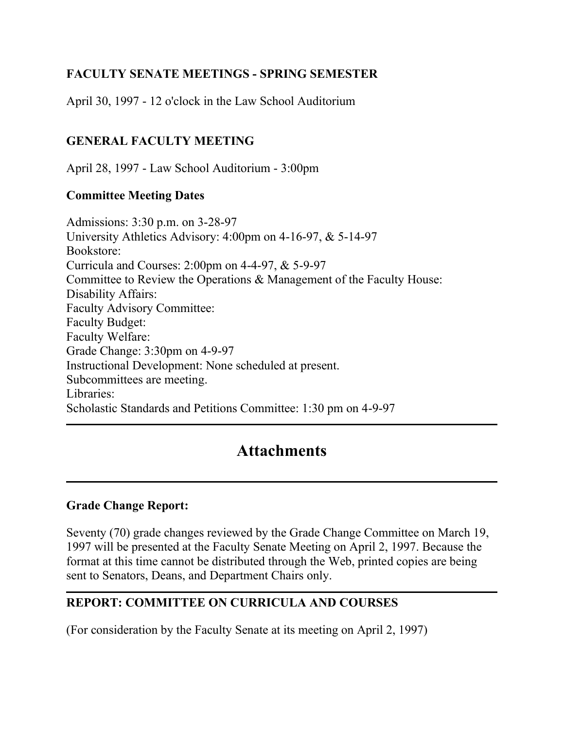# **FACULTY SENATE MEETINGS - SPRING SEMESTER**

April 30, 1997 - 12 o'clock in the Law School Auditorium

### **GENERAL FACULTY MEETING**

April 28, 1997 - Law School Auditorium - 3:00pm

#### **Committee Meeting Dates**

Admissions: 3:30 p.m. on 3-28-97 University Athletics Advisory: 4:00pm on 4-16-97, & 5-14-97 Bookstore: Curricula and Courses: 2:00pm on 4-4-97, & 5-9-97 Committee to Review the Operations & Management of the Faculty House: Disability Affairs: Faculty Advisory Committee: Faculty Budget: Faculty Welfare: Grade Change: 3:30pm on 4-9-97 Instructional Development: None scheduled at present. Subcommittees are meeting. Libraries: Scholastic Standards and Petitions Committee: 1:30 pm on 4-9-97

# **Attachments**

### **Grade Change Report:**

Seventy (70) grade changes reviewed by the Grade Change Committee on March 19, 1997 will be presented at the Faculty Senate Meeting on April 2, 1997. Because the format at this time cannot be distributed through the Web, printed copies are being sent to Senators, Deans, and Department Chairs only.

# **REPORT: COMMITTEE ON CURRICULA AND COURSES**

(For consideration by the Faculty Senate at its meeting on April 2, 1997)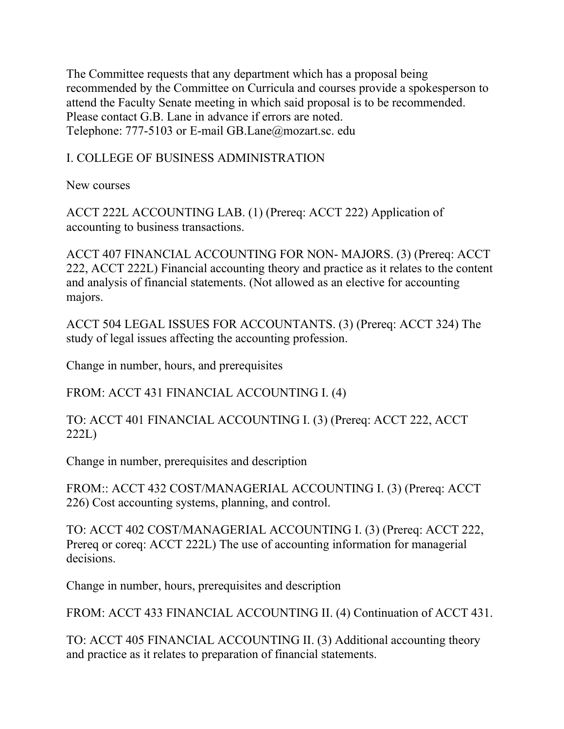The Committee requests that any department which has a proposal being recommended by the Committee on Curricula and courses provide a spokesperson to attend the Faculty Senate meeting in which said proposal is to be recommended. Please contact G.B. Lane in advance if errors are noted. Telephone: 777-5103 or E-mail GB.Lane@mozart.sc. edu

# I. COLLEGE OF BUSINESS ADMINISTRATION

New courses

ACCT 222L ACCOUNTING LAB. (1) (Prereq: ACCT 222) Application of accounting to business transactions.

ACCT 407 FINANCIAL ACCOUNTING FOR NON- MAJORS. (3) (Prereq: ACCT 222, ACCT 222L) Financial accounting theory and practice as it relates to the content and analysis of financial statements. (Not allowed as an elective for accounting majors.

ACCT 504 LEGAL ISSUES FOR ACCOUNTANTS. (3) (Prereq: ACCT 324) The study of legal issues affecting the accounting profession.

Change in number, hours, and prerequisites

FROM: ACCT 431 FINANCIAL ACCOUNTING I. (4)

TO: ACCT 401 FINANCIAL ACCOUNTING I. (3) (Prereq: ACCT 222, ACCT 222L)

Change in number, prerequisites and description

FROM:: ACCT 432 COST/MANAGERIAL ACCOUNTING I. (3) (Prereq: ACCT 226) Cost accounting systems, planning, and control.

TO: ACCT 402 COST/MANAGERIAL ACCOUNTING I. (3) (Prereq: ACCT 222, Prereq or coreq: ACCT 222L) The use of accounting information for managerial decisions.

Change in number, hours, prerequisites and description

FROM: ACCT 433 FINANCIAL ACCOUNTING II. (4) Continuation of ACCT 431.

TO: ACCT 405 FINANCIAL ACCOUNTING II. (3) Additional accounting theory and practice as it relates to preparation of financial statements.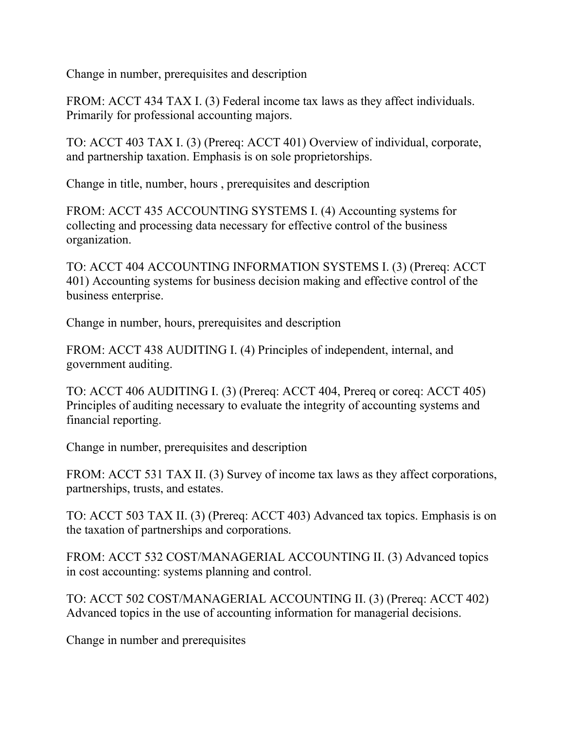Change in number, prerequisites and description

FROM: ACCT 434 TAX I. (3) Federal income tax laws as they affect individuals. Primarily for professional accounting majors.

TO: ACCT 403 TAX I. (3) (Prereq: ACCT 401) Overview of individual, corporate, and partnership taxation. Emphasis is on sole proprietorships.

Change in title, number, hours , prerequisites and description

FROM: ACCT 435 ACCOUNTING SYSTEMS I. (4) Accounting systems for collecting and processing data necessary for effective control of the business organization.

TO: ACCT 404 ACCOUNTING INFORMATION SYSTEMS I. (3) (Prereq: ACCT 401) Accounting systems for business decision making and effective control of the business enterprise.

Change in number, hours, prerequisites and description

FROM: ACCT 438 AUDITING I. (4) Principles of independent, internal, and government auditing.

TO: ACCT 406 AUDITING I. (3) (Prereq: ACCT 404, Prereq or coreq: ACCT 405) Principles of auditing necessary to evaluate the integrity of accounting systems and financial reporting.

Change in number, prerequisites and description

FROM: ACCT 531 TAX II. (3) Survey of income tax laws as they affect corporations, partnerships, trusts, and estates.

TO: ACCT 503 TAX II. (3) (Prereq: ACCT 403) Advanced tax topics. Emphasis is on the taxation of partnerships and corporations.

FROM: ACCT 532 COST/MANAGERIAL ACCOUNTING II. (3) Advanced topics in cost accounting: systems planning and control.

TO: ACCT 502 COST/MANAGERIAL ACCOUNTING II. (3) (Prereq: ACCT 402) Advanced topics in the use of accounting information for managerial decisions.

Change in number and prerequisites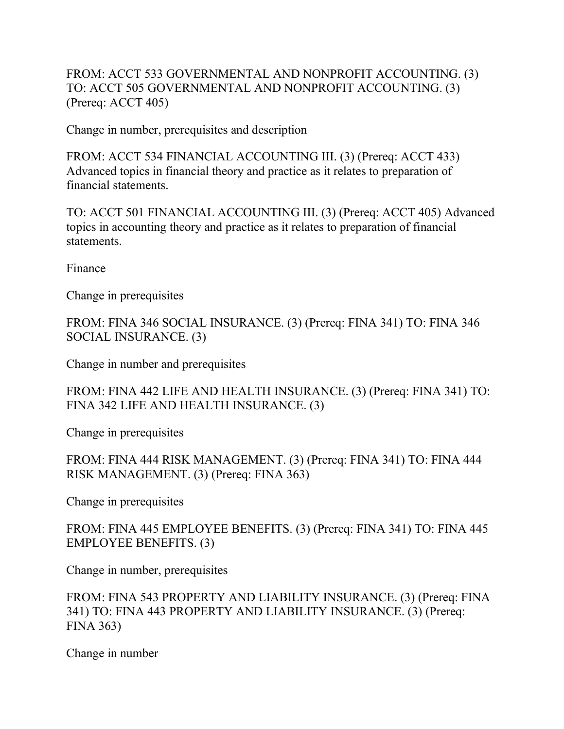FROM: ACCT 533 GOVERNMENTAL AND NONPROFIT ACCOUNTING. (3) TO: ACCT 505 GOVERNMENTAL AND NONPROFIT ACCOUNTING. (3) (Prereq: ACCT 405)

Change in number, prerequisites and description

FROM: ACCT 534 FINANCIAL ACCOUNTING III. (3) (Prereq: ACCT 433) Advanced topics in financial theory and practice as it relates to preparation of financial statements.

TO: ACCT 501 FINANCIAL ACCOUNTING III. (3) (Prereq: ACCT 405) Advanced topics in accounting theory and practice as it relates to preparation of financial statements.

Finance

Change in prerequisites

FROM: FINA 346 SOCIAL INSURANCE. (3) (Prereq: FINA 341) TO: FINA 346 SOCIAL INSURANCE. (3)

Change in number and prerequisites

FROM: FINA 442 LIFE AND HEALTH INSURANCE. (3) (Prereq: FINA 341) TO: FINA 342 LIFE AND HEALTH INSURANCE. (3)

Change in prerequisites

FROM: FINA 444 RISK MANAGEMENT. (3) (Prereq: FINA 341) TO: FINA 444 RISK MANAGEMENT. (3) (Prereq: FINA 363)

Change in prerequisites

FROM: FINA 445 EMPLOYEE BENEFITS. (3) (Prereq: FINA 341) TO: FINA 445 EMPLOYEE BENEFITS. (3)

Change in number, prerequisites

FROM: FINA 543 PROPERTY AND LIABILITY INSURANCE. (3) (Prereq: FINA 341) TO: FINA 443 PROPERTY AND LIABILITY INSURANCE. (3) (Prereq: FINA 363)

Change in number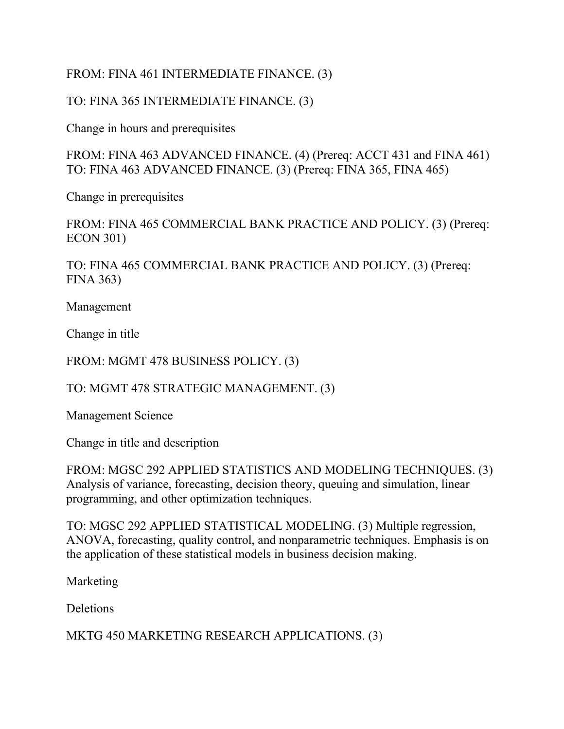### FROM: FINA 461 INTERMEDIATE FINANCE. (3)

### TO: FINA 365 INTERMEDIATE FINANCE. (3)

Change in hours and prerequisites

FROM: FINA 463 ADVANCED FINANCE. (4) (Prereq: ACCT 431 and FINA 461) TO: FINA 463 ADVANCED FINANCE. (3) (Prereq: FINA 365, FINA 465)

Change in prerequisites

FROM: FINA 465 COMMERCIAL BANK PRACTICE AND POLICY. (3) (Prereq: ECON 301)

TO: FINA 465 COMMERCIAL BANK PRACTICE AND POLICY. (3) (Prereq: FINA 363)

Management

Change in title

FROM: MGMT 478 BUSINESS POLICY. (3)

TO: MGMT 478 STRATEGIC MANAGEMENT. (3)

Management Science

Change in title and description

FROM: MGSC 292 APPLIED STATISTICS AND MODELING TECHNIQUES. (3) Analysis of variance, forecasting, decision theory, queuing and simulation, linear programming, and other optimization techniques.

TO: MGSC 292 APPLIED STATISTICAL MODELING. (3) Multiple regression, ANOVA, forecasting, quality control, and nonparametric techniques. Emphasis is on the application of these statistical models in business decision making.

Marketing

Deletions

MKTG 450 MARKETING RESEARCH APPLICATIONS. (3)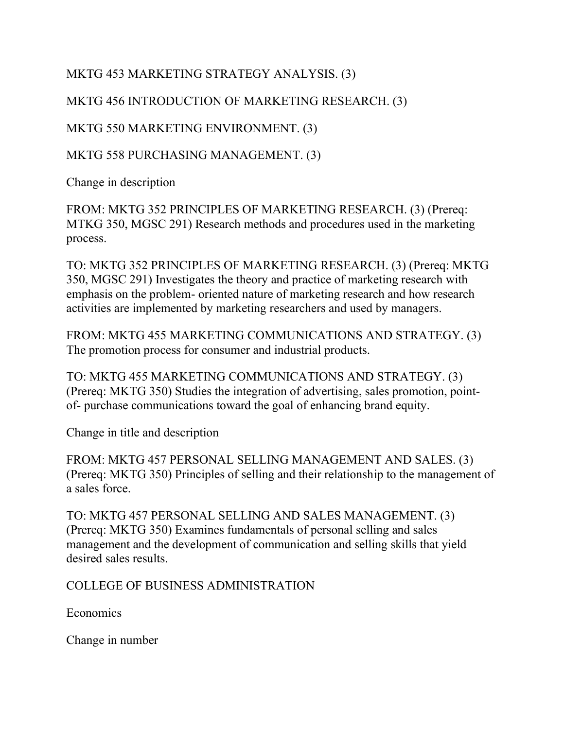# MKTG 453 MARKETING STRATEGY ANALYSIS. (3)

MKTG 456 INTRODUCTION OF MARKETING RESEARCH. (3)

MKTG 550 MARKETING ENVIRONMENT. (3)

MKTG 558 PURCHASING MANAGEMENT. (3)

Change in description

FROM: MKTG 352 PRINCIPLES OF MARKETING RESEARCH. (3) (Prereq: MTKG 350, MGSC 291) Research methods and procedures used in the marketing process.

TO: MKTG 352 PRINCIPLES OF MARKETING RESEARCH. (3) (Prereq: MKTG 350, MGSC 291) Investigates the theory and practice of marketing research with emphasis on the problem- oriented nature of marketing research and how research activities are implemented by marketing researchers and used by managers.

FROM: MKTG 455 MARKETING COMMUNICATIONS AND STRATEGY. (3) The promotion process for consumer and industrial products.

TO: MKTG 455 MARKETING COMMUNICATIONS AND STRATEGY. (3) (Prereq: MKTG 350) Studies the integration of advertising, sales promotion, pointof- purchase communications toward the goal of enhancing brand equity.

Change in title and description

FROM: MKTG 457 PERSONAL SELLING MANAGEMENT AND SALES. (3) (Prereq: MKTG 350) Principles of selling and their relationship to the management of a sales force.

TO: MKTG 457 PERSONAL SELLING AND SALES MANAGEMENT. (3) (Prereq: MKTG 350) Examines fundamentals of personal selling and sales management and the development of communication and selling skills that yield desired sales results.

COLLEGE OF BUSINESS ADMINISTRATION

Economics

Change in number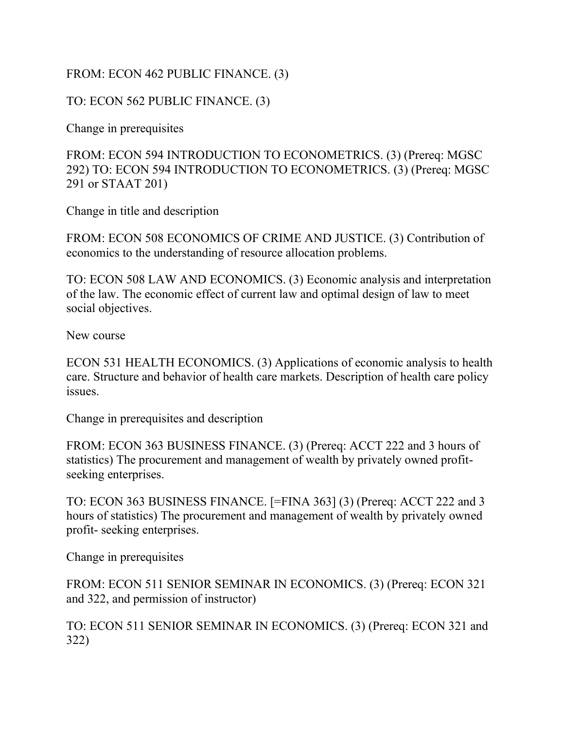### FROM: ECON 462 PUBLIC FINANCE. (3)

### TO: ECON 562 PUBLIC FINANCE. (3)

Change in prerequisites

FROM: ECON 594 INTRODUCTION TO ECONOMETRICS. (3) (Prereq: MGSC 292) TO: ECON 594 INTRODUCTION TO ECONOMETRICS. (3) (Prereq: MGSC 291 or STAAT 201)

Change in title and description

FROM: ECON 508 ECONOMICS OF CRIME AND JUSTICE. (3) Contribution of economics to the understanding of resource allocation problems.

TO: ECON 508 LAW AND ECONOMICS. (3) Economic analysis and interpretation of the law. The economic effect of current law and optimal design of law to meet social objectives.

New course

ECON 531 HEALTH ECONOMICS. (3) Applications of economic analysis to health care. Structure and behavior of health care markets. Description of health care policy issues.

Change in prerequisites and description

FROM: ECON 363 BUSINESS FINANCE. (3) (Prereq: ACCT 222 and 3 hours of statistics) The procurement and management of wealth by privately owned profitseeking enterprises.

TO: ECON 363 BUSINESS FINANCE. [=FINA 363] (3) (Prereq: ACCT 222 and 3 hours of statistics) The procurement and management of wealth by privately owned profit- seeking enterprises.

Change in prerequisites

FROM: ECON 511 SENIOR SEMINAR IN ECONOMICS. (3) (Prereq: ECON 321 and 322, and permission of instructor)

TO: ECON 511 SENIOR SEMINAR IN ECONOMICS. (3) (Prereq: ECON 321 and 322)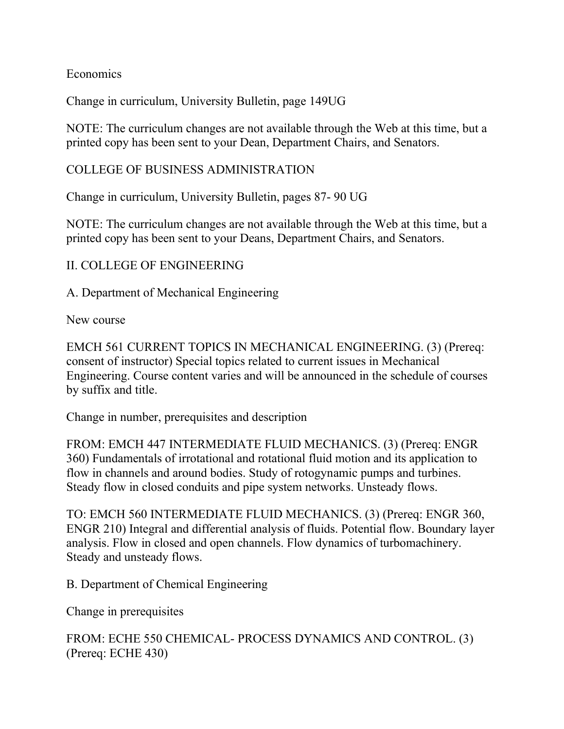#### **Economics**

Change in curriculum, University Bulletin, page 149UG

NOTE: The curriculum changes are not available through the Web at this time, but a printed copy has been sent to your Dean, Department Chairs, and Senators.

#### COLLEGE OF BUSINESS ADMINISTRATION

Change in curriculum, University Bulletin, pages 87- 90 UG

NOTE: The curriculum changes are not available through the Web at this time, but a printed copy has been sent to your Deans, Department Chairs, and Senators.

### II. COLLEGE OF ENGINEERING

A. Department of Mechanical Engineering

New course

EMCH 561 CURRENT TOPICS IN MECHANICAL ENGINEERING. (3) (Prereq: consent of instructor) Special topics related to current issues in Mechanical Engineering. Course content varies and will be announced in the schedule of courses by suffix and title.

Change in number, prerequisites and description

FROM: EMCH 447 INTERMEDIATE FLUID MECHANICS. (3) (Prereq: ENGR 360) Fundamentals of irrotational and rotational fluid motion and its application to flow in channels and around bodies. Study of rotogynamic pumps and turbines. Steady flow in closed conduits and pipe system networks. Unsteady flows.

TO: EMCH 560 INTERMEDIATE FLUID MECHANICS. (3) (Prereq: ENGR 360, ENGR 210) Integral and differential analysis of fluids. Potential flow. Boundary layer analysis. Flow in closed and open channels. Flow dynamics of turbomachinery. Steady and unsteady flows.

B. Department of Chemical Engineering

Change in prerequisites

FROM: ECHE 550 CHEMICAL- PROCESS DYNAMICS AND CONTROL. (3) (Prereq: ECHE 430)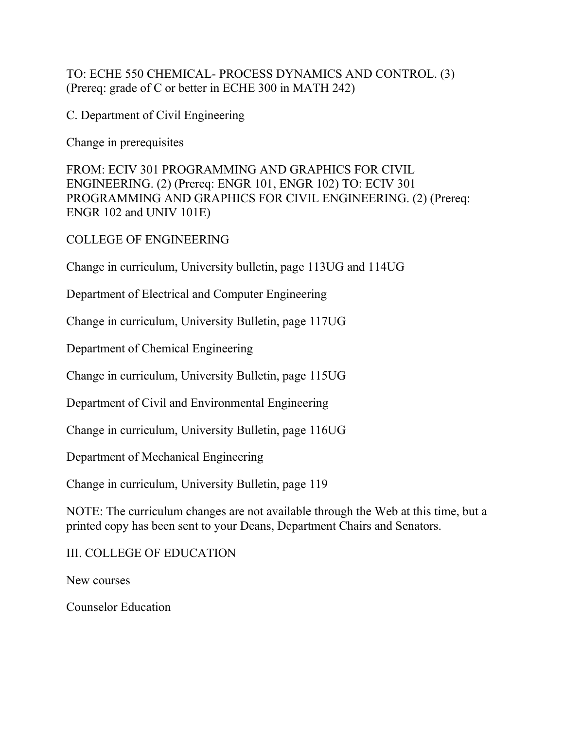### TO: ECHE 550 CHEMICAL- PROCESS DYNAMICS AND CONTROL. (3) (Prereq: grade of C or better in ECHE 300 in MATH 242)

C. Department of Civil Engineering

Change in prerequisites

FROM: ECIV 301 PROGRAMMING AND GRAPHICS FOR CIVIL ENGINEERING. (2) (Prereq: ENGR 101, ENGR 102) TO: ECIV 301 PROGRAMMING AND GRAPHICS FOR CIVIL ENGINEERING. (2) (Prereq: ENGR 102 and UNIV 101E)

COLLEGE OF ENGINEERING

Change in curriculum, University bulletin, page 113UG and 114UG

Department of Electrical and Computer Engineering

Change in curriculum, University Bulletin, page 117UG

Department of Chemical Engineering

Change in curriculum, University Bulletin, page 115UG

Department of Civil and Environmental Engineering

Change in curriculum, University Bulletin, page 116UG

Department of Mechanical Engineering

Change in curriculum, University Bulletin, page 119

NOTE: The curriculum changes are not available through the Web at this time, but a printed copy has been sent to your Deans, Department Chairs and Senators.

III. COLLEGE OF EDUCATION

New courses

Counselor Education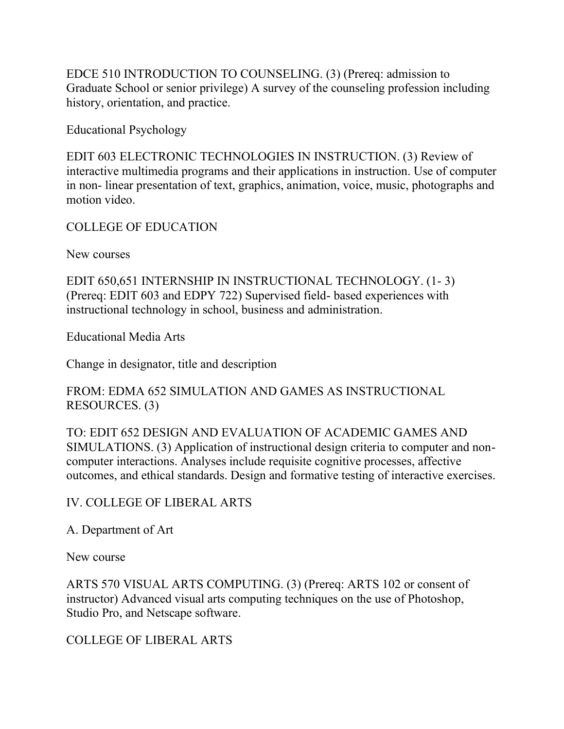EDCE 510 INTRODUCTION TO COUNSELING. (3) (Prereq: admission to Graduate School or senior privilege) A survey of the counseling profession including history, orientation, and practice.

Educational Psychology

EDIT 603 ELECTRONIC TECHNOLOGIES IN INSTRUCTION. (3) Review of interactive multimedia programs and their applications in instruction. Use of computer in non- linear presentation of text, graphics, animation, voice, music, photographs and motion video.

COLLEGE OF EDUCATION

New courses

EDIT 650,651 INTERNSHIP IN INSTRUCTIONAL TECHNOLOGY. (1- 3) (Prereq: EDIT 603 and EDPY 722) Supervised field- based experiences with instructional technology in school, business and administration.

Educational Media Arts

Change in designator, title and description

FROM: EDMA 652 SIMULATION AND GAMES AS INSTRUCTIONAL RESOURCES. (3)

TO: EDIT 652 DESIGN AND EVALUATION OF ACADEMIC GAMES AND SIMULATIONS. (3) Application of instructional design criteria to computer and noncomputer interactions. Analyses include requisite cognitive processes, affective outcomes, and ethical standards. Design and formative testing of interactive exercises.

### IV. COLLEGE OF LIBERAL ARTS

A. Department of Art

New course

ARTS 570 VISUAL ARTS COMPUTING. (3) (Prereq: ARTS 102 or consent of instructor) Advanced visual arts computing techniques on the use of Photoshop, Studio Pro, and Netscape software.

### COLLEGE OF LIBERAL ARTS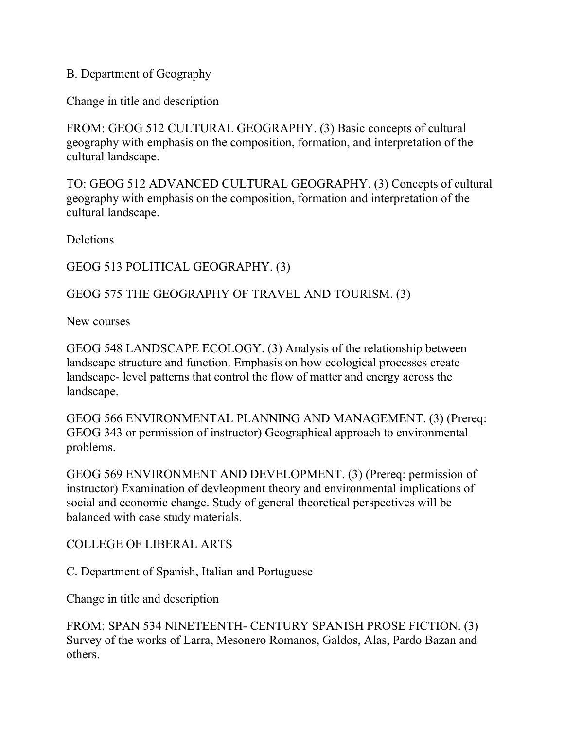B. Department of Geography

Change in title and description

FROM: GEOG 512 CULTURAL GEOGRAPHY. (3) Basic concepts of cultural geography with emphasis on the composition, formation, and interpretation of the cultural landscape.

TO: GEOG 512 ADVANCED CULTURAL GEOGRAPHY. (3) Concepts of cultural geography with emphasis on the composition, formation and interpretation of the cultural landscape.

Deletions

GEOG 513 POLITICAL GEOGRAPHY. (3)

GEOG 575 THE GEOGRAPHY OF TRAVEL AND TOURISM. (3)

New courses

GEOG 548 LANDSCAPE ECOLOGY. (3) Analysis of the relationship between landscape structure and function. Emphasis on how ecological processes create landscape- level patterns that control the flow of matter and energy across the landscape.

GEOG 566 ENVIRONMENTAL PLANNING AND MANAGEMENT. (3) (Prereq: GEOG 343 or permission of instructor) Geographical approach to environmental problems.

GEOG 569 ENVIRONMENT AND DEVELOPMENT. (3) (Prereq: permission of instructor) Examination of devleopment theory and environmental implications of social and economic change. Study of general theoretical perspectives will be balanced with case study materials.

COLLEGE OF LIBERAL ARTS

C. Department of Spanish, Italian and Portuguese

Change in title and description

FROM: SPAN 534 NINETEENTH- CENTURY SPANISH PROSE FICTION. (3) Survey of the works of Larra, Mesonero Romanos, Galdos, Alas, Pardo Bazan and others.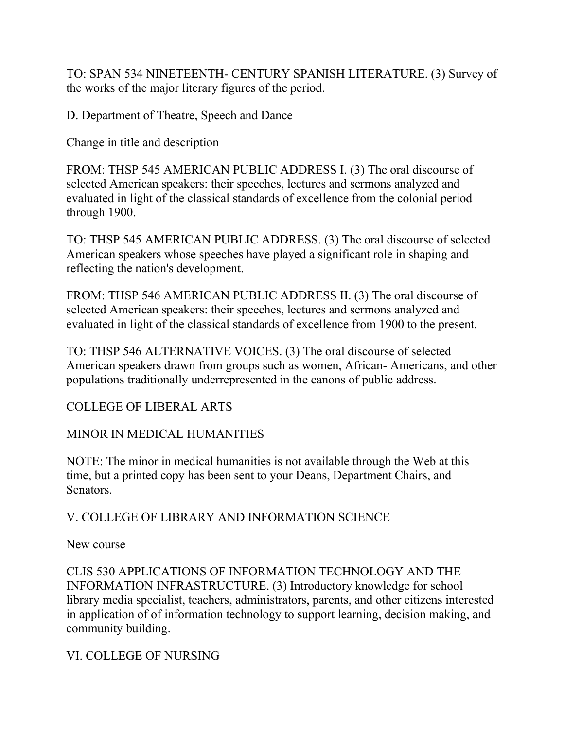TO: SPAN 534 NINETEENTH- CENTURY SPANISH LITERATURE. (3) Survey of the works of the major literary figures of the period.

D. Department of Theatre, Speech and Dance

Change in title and description

FROM: THSP 545 AMERICAN PUBLIC ADDRESS I. (3) The oral discourse of selected American speakers: their speeches, lectures and sermons analyzed and evaluated in light of the classical standards of excellence from the colonial period through 1900.

TO: THSP 545 AMERICAN PUBLIC ADDRESS. (3) The oral discourse of selected American speakers whose speeches have played a significant role in shaping and reflecting the nation's development.

FROM: THSP 546 AMERICAN PUBLIC ADDRESS II. (3) The oral discourse of selected American speakers: their speeches, lectures and sermons analyzed and evaluated in light of the classical standards of excellence from 1900 to the present.

TO: THSP 546 ALTERNATIVE VOICES. (3) The oral discourse of selected American speakers drawn from groups such as women, African- Americans, and other populations traditionally underrepresented in the canons of public address.

COLLEGE OF LIBERAL ARTS

MINOR IN MEDICAL HUMANITIES

NOTE: The minor in medical humanities is not available through the Web at this time, but a printed copy has been sent to your Deans, Department Chairs, and Senators.

V. COLLEGE OF LIBRARY AND INFORMATION SCIENCE

New course

CLIS 530 APPLICATIONS OF INFORMATION TECHNOLOGY AND THE INFORMATION INFRASTRUCTURE. (3) Introductory knowledge for school library media specialist, teachers, administrators, parents, and other citizens interested in application of of information technology to support learning, decision making, and community building.

VI. COLLEGE OF NURSING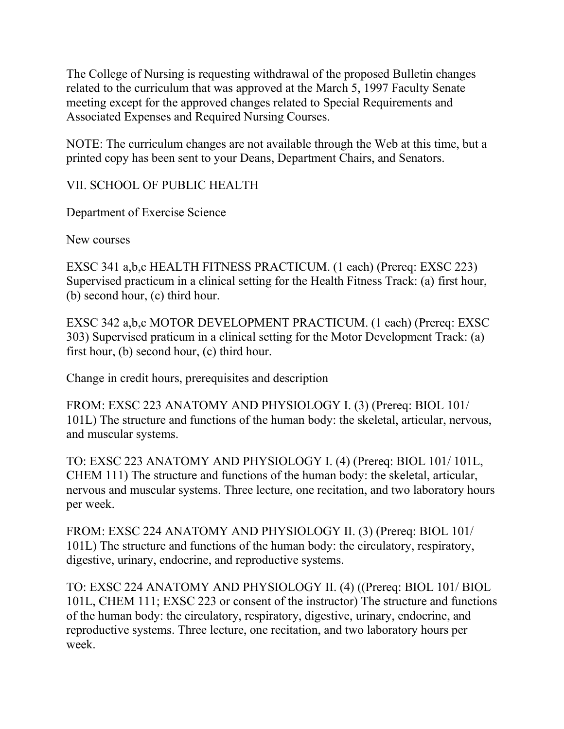The College of Nursing is requesting withdrawal of the proposed Bulletin changes related to the curriculum that was approved at the March 5, 1997 Faculty Senate meeting except for the approved changes related to Special Requirements and Associated Expenses and Required Nursing Courses.

NOTE: The curriculum changes are not available through the Web at this time, but a printed copy has been sent to your Deans, Department Chairs, and Senators.

VII. SCHOOL OF PUBLIC HEALTH

Department of Exercise Science

New courses

EXSC 341 a,b,c HEALTH FITNESS PRACTICUM. (1 each) (Prereq: EXSC 223) Supervised practicum in a clinical setting for the Health Fitness Track: (a) first hour, (b) second hour, (c) third hour.

EXSC 342 a,b,c MOTOR DEVELOPMENT PRACTICUM. (1 each) (Prereq: EXSC 303) Supervised praticum in a clinical setting for the Motor Development Track: (a) first hour, (b) second hour, (c) third hour.

Change in credit hours, prerequisites and description

FROM: EXSC 223 ANATOMY AND PHYSIOLOGY I. (3) (Prereq: BIOL 101/ 101L) The structure and functions of the human body: the skeletal, articular, nervous, and muscular systems.

TO: EXSC 223 ANATOMY AND PHYSIOLOGY I. (4) (Prereq: BIOL 101/ 101L, CHEM 111) The structure and functions of the human body: the skeletal, articular, nervous and muscular systems. Three lecture, one recitation, and two laboratory hours per week.

FROM: EXSC 224 ANATOMY AND PHYSIOLOGY II. (3) (Prereq: BIOL 101/ 101L) The structure and functions of the human body: the circulatory, respiratory, digestive, urinary, endocrine, and reproductive systems.

TO: EXSC 224 ANATOMY AND PHYSIOLOGY II. (4) ((Prereq: BIOL 101/ BIOL 101L, CHEM 111; EXSC 223 or consent of the instructor) The structure and functions of the human body: the circulatory, respiratory, digestive, urinary, endocrine, and reproductive systems. Three lecture, one recitation, and two laboratory hours per week.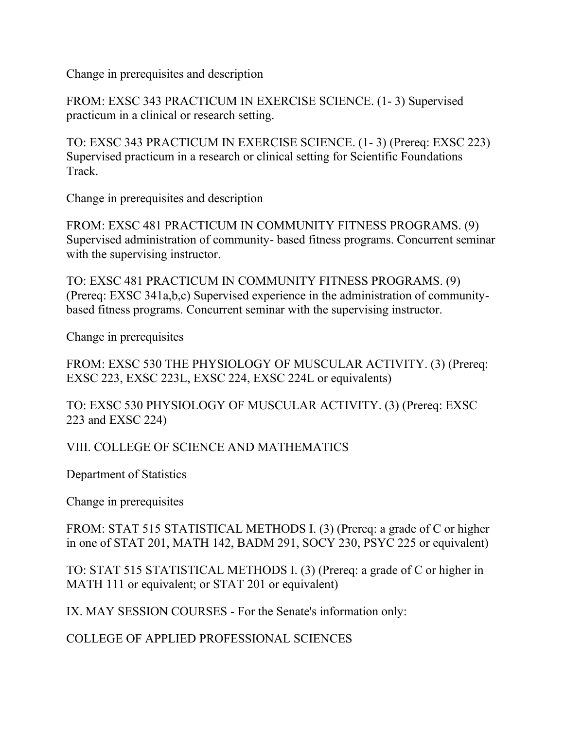Change in prerequisites and description

FROM: EXSC 343 PRACTICUM IN EXERCISE SCIENCE. (1- 3) Supervised practicum in a clinical or research setting.

TO: EXSC 343 PRACTICUM IN EXERCISE SCIENCE. (1- 3) (Prereq: EXSC 223) Supervised practicum in a research or clinical setting for Scientific Foundations Track.

Change in prerequisites and description

FROM: EXSC 481 PRACTICUM IN COMMUNITY FITNESS PROGRAMS. (9) Supervised administration of community- based fitness programs. Concurrent seminar with the supervising instructor.

TO: EXSC 481 PRACTICUM IN COMMUNITY FITNESS PROGRAMS. (9) (Prereq: EXSC 341a,b,c) Supervised experience in the administration of communitybased fitness programs. Concurrent seminar with the supervising instructor.

Change in prerequisites

FROM: EXSC 530 THE PHYSIOLOGY OF MUSCULAR ACTIVITY. (3) (Prereq: EXSC 223, EXSC 223L, EXSC 224, EXSC 224L or equivalents)

TO: EXSC 530 PHYSIOLOGY OF MUSCULAR ACTIVITY. (3) (Prereq: EXSC 223 and EXSC 224)

VIII. COLLEGE OF SCIENCE AND MATHEMATICS

Department of Statistics

Change in prerequisites

FROM: STAT 515 STATISTICAL METHODS I. (3) (Prereq: a grade of C or higher in one of STAT 201, MATH 142, BADM 291, SOCY 230, PSYC 225 or equivalent)

TO: STAT 515 STATISTICAL METHODS I. (3) (Prereq: a grade of C or higher in MATH 111 or equivalent; or STAT 201 or equivalent)

IX. MAY SESSION COURSES - For the Senate's information only:

COLLEGE OF APPLIED PROFESSIONAL SCIENCES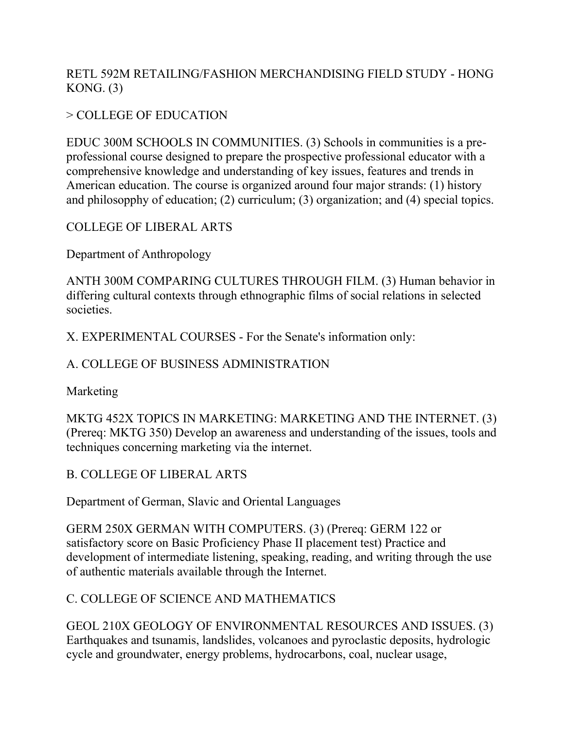# RETL 592M RETAILING/FASHION MERCHANDISING FIELD STUDY - HONG  $KONG. (3)$

# > COLLEGE OF EDUCATION

EDUC 300M SCHOOLS IN COMMUNITIES. (3) Schools in communities is a preprofessional course designed to prepare the prospective professional educator with a comprehensive knowledge and understanding of key issues, features and trends in American education. The course is organized around four major strands: (1) history and philosopphy of education; (2) curriculum; (3) organization; and (4) special topics.

COLLEGE OF LIBERAL ARTS

Department of Anthropology

ANTH 300M COMPARING CULTURES THROUGH FILM. (3) Human behavior in differing cultural contexts through ethnographic films of social relations in selected societies.

X. EXPERIMENTAL COURSES - For the Senate's information only:

# A. COLLEGE OF BUSINESS ADMINISTRATION

Marketing

MKTG 452X TOPICS IN MARKETING: MARKETING AND THE INTERNET. (3) (Prereq: MKTG 350) Develop an awareness and understanding of the issues, tools and techniques concerning marketing via the internet.

B. COLLEGE OF LIBERAL ARTS

Department of German, Slavic and Oriental Languages

GERM 250X GERMAN WITH COMPUTERS. (3) (Prereq: GERM 122 or satisfactory score on Basic Proficiency Phase II placement test) Practice and development of intermediate listening, speaking, reading, and writing through the use of authentic materials available through the Internet.

# C. COLLEGE OF SCIENCE AND MATHEMATICS

GEOL 210X GEOLOGY OF ENVIRONMENTAL RESOURCES AND ISSUES. (3) Earthquakes and tsunamis, landslides, volcanoes and pyroclastic deposits, hydrologic cycle and groundwater, energy problems, hydrocarbons, coal, nuclear usage,